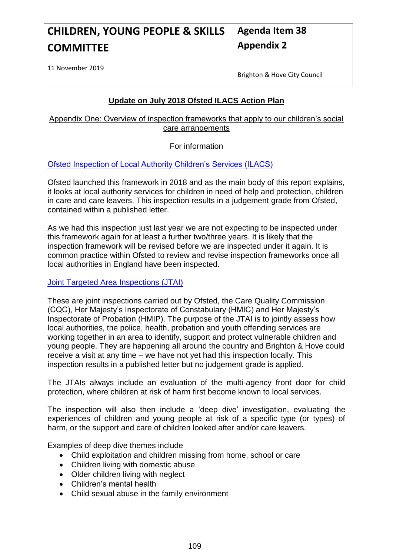#### **CHILDREN, YOUNG PEOPLE & SKILLS COMMITTEE Agenda Item 38 Appendix 2**

11 November 2019

Brighton & Hove City Council

# **Update on July 2018 Ofsted ILACS Action Plan**

Appendix One: Overview of inspection frameworks that apply to our children's social care arrangements

For information

[Ofsted Inspection of Local Authority Children's Services \(ILACS\)](https://www.gov.uk/government/publications/inspecting-local-authority-childrens-services-from-2018)

Ofsted launched this framework in 2018 and as the main body of this report explains, it looks at local authority services for children in need of help and protection, children in care and care leavers. This inspection results in a judgement grade from Ofsted, contained within a published letter.

As we had this inspection just last year we are not expecting to be inspected under this framework again for at least a further two/three years. It is likely that the inspection framework will be revised before we are inspected under it again. It is common practice within Ofsted to review and revise inspection frameworks once all local authorities in England have been inspected.

### [Joint Targeted Area Inspections \(JTAI\)](https://www.gov.uk/government/collections/joint-inspections-of-local-area-services)

These are joint inspections carried out by Ofsted, the Care Quality Commission (CQC), Her Majesty's Inspectorate of Constabulary (HMIC) and Her Majesty's Inspectorate of Probation (HMIP). The purpose of the JTAI is to jointly assess how local authorities, the police, health, probation and youth offending services are working together in an area to identify, support and protect vulnerable children and young people. They are happening all around the country and Brighton & Hove could receive a visit at any time – we have not yet had this inspection locally. This inspection results in a published letter but no judgement grade is applied.

The JTAIs always include an evaluation of the multi-agency front door for child protection, where children at risk of harm first become known to local services.

The inspection will also then include a 'deep dive' investigation, evaluating the experiences of children and young people at risk of a specific type (or types) of harm, or the support and care of children looked after and/or care leavers.

Examples of deep dive themes include

- Child exploitation and children missing from home, school or care
- Children living with domestic abuse
- Older children living with neglect
- Children's mental health
- Child sexual abuse in the family environment